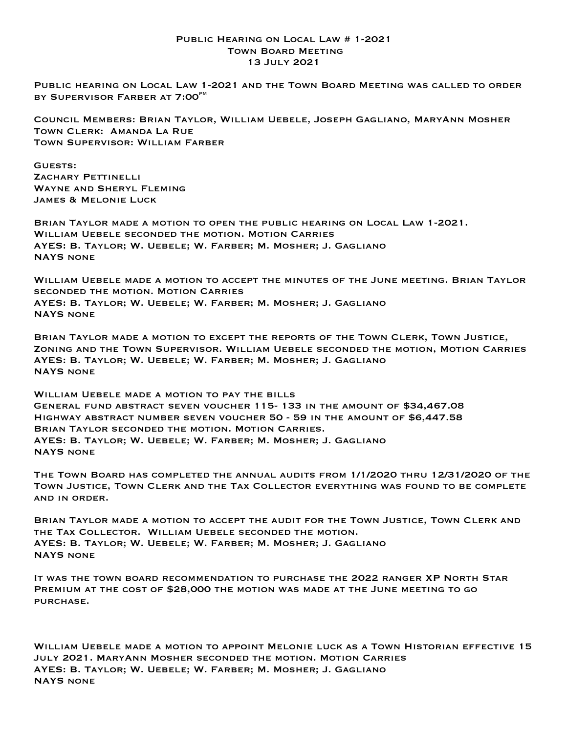## Public Hearing on Local Law # 1-2021 Town Board Meeting 13 July 2021

Public hearing on Local Law 1-2021 and the Town Board Meeting was called to order BY SUPERVISOR FARBER AT 7:00<sup>PM</sup>

Council Members: Brian Taylor, William Uebele, Joseph Gagliano, MaryAnn Mosher Town Clerk: Amanda La Rue Town Supervisor: William Farber

GUESTS: ZACHARY PETTINELLI Wayne and Sheryl Fleming James & Melonie Luck

Brian Taylor made a motion to open the public hearing on Local Law 1-2021. William Uebele seconded the motion. Motion Carries AYES: B. Taylor; W. Uebele; W. Farber; M. Mosher; J. Gagliano NAYS none

William Uebele made a motion to accept the minutes of the June meeting. Brian Taylor seconded the motion. Motion Carries AYES: B. Taylor; W. Uebele; W. Farber; M. Mosher; J. Gagliano NAYS none

Brian Taylor made a motion to except the reports of the Town Clerk, Town Justice, Zoning and the Town Supervisor. William Uebele seconded the motion, Motion Carries AYES: B. Taylor; W. Uebele; W. Farber; M. Mosher; J. Gagliano NAYS none

WILLIAM UEBELE MADE A MOTION TO PAY THE BILLS General fund abstract seven voucher 115- 133 in the amount of \$34,467.08 Highway abstract number seven voucher 50 - 59 in the amount of \$6,447.58 Brian Taylor seconded the motion. Motion Carries. AYES: B. Taylor; W. Uebele; W. Farber; M. Mosher; J. Gagliano NAYS none

The Town Board has completed the annual audits from 1/1/2020 thru 12/31/2020 of the Town Justice, Town Clerk and the Tax Collector everything was found to be complete and in order.

Brian Taylor made a motion to accept the audit for the Town Justice, Town Clerk and the Tax Collector. William Uebele seconded the motion. AYES: B. Taylor; W. Uebele; W. Farber; M. Mosher; J. Gagliano NAYS none

It was the town board recommendation to purchase the 2022 ranger XP North Star PREMIUM AT THE COST OF \$28,000 THE MOTION WAS MADE AT THE JUNE MEETING TO GO purchase.

William Uebele made a motion to appoint Melonie luck as a Town Historian effective 15 July 2021. MaryAnn Mosher seconded the motion. Motion Carries AYES: B. Taylor; W. Uebele; W. Farber; M. Mosher; J. Gagliano NAYS none